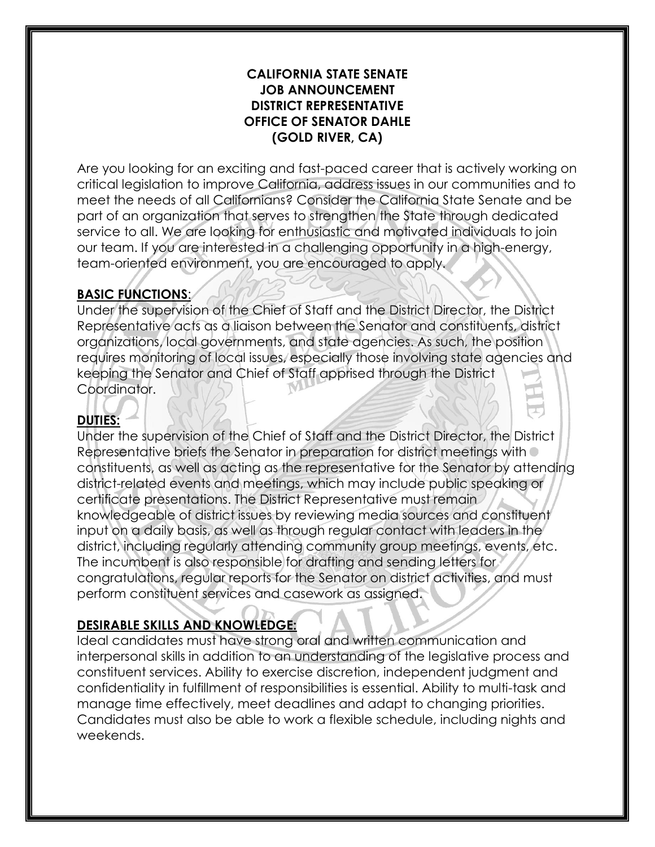#### **CALIFORNIA STATE SENATE JOB ANNOUNCEMENT DISTRICT REPRESENTATIVE OFFICE OF SENATOR DAHLE (GOLD RIVER, CA)**

Are you looking for an exciting and fast-paced career that is actively working on critical legislation to improve California, address issues in our communities and to meet the needs of all Californians? Consider the California State Senate and be part of an organization that serves to strengthen the State through dedicated service to all. We are looking for enthusiastic and motivated individuals to join our team. If you are interested in a challenging opportunity in a high-energy, team-oriented environment, you are encouraged to apply.

### **BASIC FUNCTIONS**:

Under the supervision of the Chief of Staff and the District Director, the District Representative acts as a liaison between the Senator and constituents, district organizations, local governments, and state agencies. As such, the position requires monitoring of local issues, especially those involving state agencies and keeping the Senator and Chief of Staff apprised through the District Coordinator.

# **DUTIES:**

Under the supervision of the Chief of Staff and the District Director, the District Representative briefs the Senator in preparation for district meetings with constituents, as well as acting as the representative for the Senator by attending district-related events and meetings, which may include public speaking or certificate presentations. The District Representative must remain knowledgeable of district issues by reviewing media sources and constituent input on a daily basis, as well as through regular contact with leaders in the district, including regularly attending community group meetings, events, etc. The incumbent is also responsible for drafting and sending letters for congratulations, regular reports for the Senator on district activities, and must perform constituent services and casework as assigned.

## **DESIRABLE SKILLS AND KNOWLEDGE:**

Ideal candidates must have strong oral and written communication and interpersonal skills in addition to an understanding of the legislative process and constituent services. Ability to exercise discretion, independent judgment and confidentiality in fulfillment of responsibilities is essential. Ability to multi-task and manage time effectively, meet deadlines and adapt to changing priorities. Candidates must also be able to work a flexible schedule, including nights and weekends.